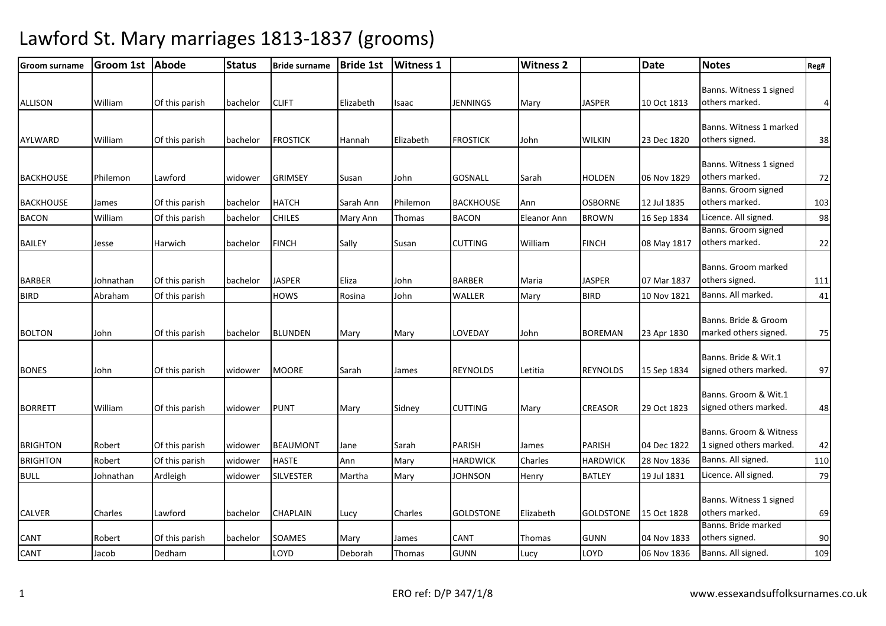| <b>Groom surname</b> | <b>Groom 1st</b> | <b>Abode</b>   | <b>Status</b> | <b>Bride surname</b> | <b>Bride 1st</b> | <b>Witness 1</b> |                  | <b>Witness 2</b> |                  | <b>Date</b> | <b>Notes</b>                                      | Reg#           |
|----------------------|------------------|----------------|---------------|----------------------|------------------|------------------|------------------|------------------|------------------|-------------|---------------------------------------------------|----------------|
| <b>ALLISON</b>       | William          | Of this parish | bachelor      | <b>CLIFT</b>         | Elizabeth        | Isaac            | JENNINGS         | Mary             | <b>JASPER</b>    | 10 Oct 1813 | Banns. Witness 1 signed<br>others marked.         | $\overline{4}$ |
| <b>AYLWARD</b>       | William          | Of this parish | bachelor      | <b>FROSTICK</b>      | Hannah           | Elizabeth        | <b>FROSTICK</b>  | John             | <b>WILKIN</b>    | 23 Dec 1820 | Banns. Witness 1 marked<br>others signed.         | 38             |
| <b>BACKHOUSE</b>     | Philemon         | Lawford        | widower       | <b>GRIMSEY</b>       | Susan            | John             | <b>GOSNALL</b>   | Sarah            | <b>HOLDEN</b>    | 06 Nov 1829 | Banns. Witness 1 signed<br>others marked.         | 72             |
| <b>BACKHOUSE</b>     | James            | Of this parish | bachelor      | <b>HATCH</b>         | Sarah Ann        | Philemon         | <b>BACKHOUSE</b> | Ann              | <b>OSBORNE</b>   | 12 Jul 1835 | Banns. Groom signed<br>others marked.             | 103            |
| <b>BACON</b>         | William          | Of this parish | bachelor      | <b>CHILES</b>        | Mary Ann         | Thomas           | <b>BACON</b>     | Eleanor Ann      | <b>BROWN</b>     | 16 Sep 1834 | Licence. All signed.                              | 98             |
| <b>BAILEY</b>        | Jesse            | Harwich        | bachelor      | <b>FINCH</b>         | Sally            | Susan            | <b>CUTTING</b>   | William          | <b>FINCH</b>     | 08 May 1817 | Banns. Groom signed<br>others marked.             | 22             |
| <b>BARBER</b>        | Johnathan        | Of this parish | bachelor      | <b>JASPER</b>        | Eliza            | John             | <b>BARBER</b>    | Maria            | <b>JASPER</b>    | 07 Mar 1837 | Banns. Groom marked<br>others signed.             | 111            |
| <b>BIRD</b>          | Abraham          | Of this parish |               | <b>HOWS</b>          | Rosina           | John             | WALLER           | Mary             | <b>BIRD</b>      | 10 Nov 1821 | Banns. All marked.                                | 41             |
| <b>BOLTON</b>        | John             | Of this parish | bachelor      | <b>BLUNDEN</b>       | Mary             | Mary             | LOVEDAY          | John             | <b>BOREMAN</b>   | 23 Apr 1830 | Banns. Bride & Groom<br>marked others signed.     | 75             |
| <b>BONES</b>         | John             | Of this parish | widower       | <b>MOORE</b>         | Sarah            | James            | <b>REYNOLDS</b>  | Letitia          | <b>REYNOLDS</b>  | 15 Sep 1834 | Banns. Bride & Wit.1<br>signed others marked.     | 97             |
| <b>BORRETT</b>       | William          | Of this parish | widower       | <b>PUNT</b>          | Mary             | Sidney           | <b>CUTTING</b>   | Mary             | <b>CREASOR</b>   | 29 Oct 1823 | Banns. Groom & Wit.1<br>signed others marked.     | 48             |
| <b>BRIGHTON</b>      | Robert           | Of this parish | widower       | <b>BEAUMONT</b>      | Jane             | Sarah            | PARISH           | James            | <b>PARISH</b>    | 04 Dec 1822 | Banns. Groom & Witness<br>1 signed others marked. | 42             |
| <b>BRIGHTON</b>      | Robert           | Of this parish | widower       | <b>HASTE</b>         | Ann              | Mary             | <b>HARDWICK</b>  | Charles          | <b>HARDWICK</b>  | 28 Nov 1836 | Banns. All signed.                                | 110            |
| <b>BULL</b>          | Johnathan        | Ardleigh       | widower       | <b>SILVESTER</b>     | Martha           | Mary             | <b>JOHNSON</b>   | Henry            | <b>BATLEY</b>    | 19 Jul 1831 | Licence. All signed.                              | 79             |
| <b>CALVER</b>        | Charles          | Lawford        | bachelor      | <b>CHAPLAIN</b>      | Lucy             | Charles          | <b>GOLDSTONE</b> | Elizabeth        | <b>GOLDSTONE</b> | 15 Oct 1828 | Banns. Witness 1 signed<br>others marked.         | 69             |
| CANT                 | Robert           | Of this parish | bachelor      | SOAMES               | Mary             | James            | CANT             | Thomas           | <b>GUNN</b>      | 04 Nov 1833 | Banns. Bride marked<br>others signed.             | 90             |
| <b>CANT</b>          | Jacob            | Dedham         |               | LOYD                 | Deborah          | Thomas           | <b>GUNN</b>      | Lucy             | LOYD             | 06 Nov 1836 | Banns. All signed.                                | 109            |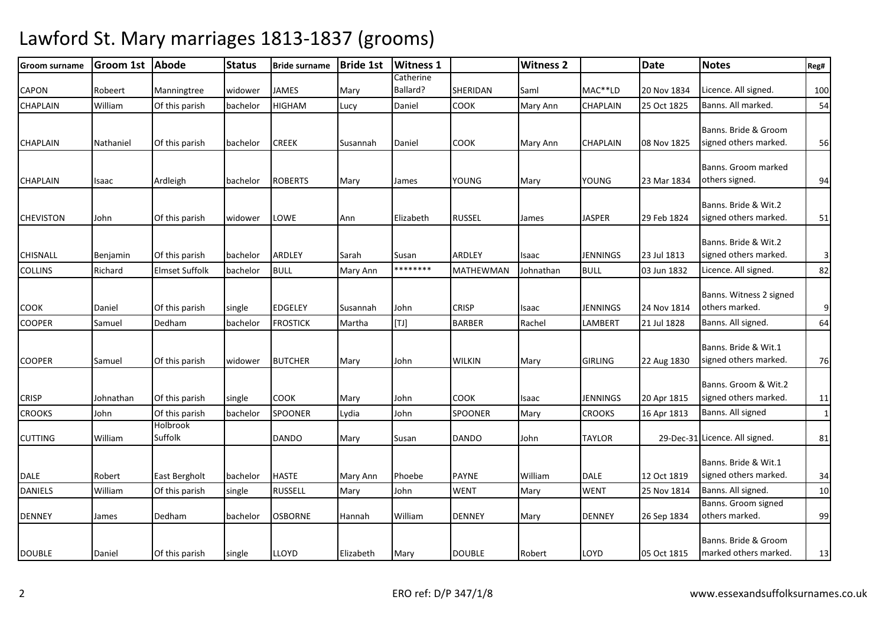| Groom surname    | <b>Groom 1st</b> | <b>Abode</b>          | <b>Status</b> | <b>Bride surname</b> | <b>Bride 1st</b> | <b>Witness 1</b>      |                | <b>Witness 2</b> |                 | <b>Date</b> | <b>Notes</b>                                  | Reg#            |
|------------------|------------------|-----------------------|---------------|----------------------|------------------|-----------------------|----------------|------------------|-----------------|-------------|-----------------------------------------------|-----------------|
|                  |                  |                       |               |                      |                  | Catherine<br>Ballard? |                |                  |                 |             |                                               |                 |
| <b>CAPON</b>     | Robeert          | Manningtree           | widower       | <b>JAMES</b>         | Mary             |                       | SHERIDAN       | Saml             | MAC**LD         | 20 Nov 1834 | Licence. All signed.                          | 100             |
| CHAPLAIN         | William          | Of this parish        | bachelor      | <b>HIGHAM</b>        | Lucy             | Daniel                | COOK           | Mary Ann         | <b>CHAPLAIN</b> | 25 Oct 1825 | Banns. All marked.                            | 54              |
| <b>CHAPLAIN</b>  | Nathaniel        | Of this parish        | bachelor      | <b>CREEK</b>         | Susannah         | Daniel                | <b>COOK</b>    | Mary Ann         | <b>CHAPLAIN</b> | 08 Nov 1825 | Banns. Bride & Groom<br>signed others marked. | 56              |
|                  |                  |                       |               |                      |                  |                       |                |                  |                 |             |                                               |                 |
| <b>CHAPLAIN</b>  | Isaac            | Ardleigh              | bachelor      | <b>ROBERTS</b>       | Mary             | James                 | YOUNG          | Mary             | YOUNG           | 23 Mar 1834 | Banns. Groom marked<br>others signed.         | 94              |
|                  |                  |                       |               |                      |                  |                       |                |                  |                 |             |                                               |                 |
| <b>CHEVISTON</b> | John             | Of this parish        | widower       | LOWE                 | Ann              | Elizabeth             | <b>RUSSEL</b>  | James            | <b>JASPER</b>   | 29 Feb 1824 | Banns. Bride & Wit.2<br>signed others marked. | 51              |
|                  |                  |                       |               |                      |                  |                       |                |                  |                 |             | Banns. Bride & Wit.2                          |                 |
| CHISNALL         | Benjamin         | Of this parish        | bachelor      | ARDLEY               | Sarah            | Susan                 | ARDLEY         | Isaac            | <b>JENNINGS</b> | 23 Jul 1813 | signed others marked.                         | $\overline{3}$  |
| <b>COLLINS</b>   | Richard          | <b>Elmset Suffolk</b> | bachelor      | <b>BULL</b>          | Mary Ann         | ********              | MATHEWMAN      | Johnathan        | <b>BULL</b>     | 03 Jun 1832 | Licence. All signed.                          | 82              |
|                  |                  |                       |               |                      |                  |                       |                |                  |                 |             |                                               |                 |
| COOK             | Daniel           | Of this parish        | single        | <b>EDGELEY</b>       | Susannah         | John                  | <b>CRISP</b>   | Isaac            | <b>JENNINGS</b> | 24 Nov 1814 | Banns. Witness 2 signed<br>others marked.     | 9               |
| <b>COOPER</b>    | Samuel           | Dedham                | bachelor      | <b>FROSTICK</b>      | Martha           | [TJ]                  | <b>BARBER</b>  | Rachel           | LAMBERT         | 21 Jul 1828 | Banns. All signed.                            | 64              |
|                  |                  |                       |               |                      |                  |                       |                |                  |                 |             |                                               |                 |
|                  |                  |                       |               |                      |                  |                       |                |                  |                 |             | Banns. Bride & Wit.1                          |                 |
| <b>COOPER</b>    | Samuel           | Of this parish        | widower       | <b>BUTCHER</b>       | Mary             | John                  | <b>WILKIN</b>  | Mary             | <b>GIRLING</b>  | 22 Aug 1830 | signed others marked.                         | 76              |
|                  |                  |                       |               |                      |                  |                       |                |                  |                 |             | Banns. Groom & Wit.2                          |                 |
| <b>CRISP</b>     | Johnathan        | Of this parish        | single        | <b>COOK</b>          | Mary             | John                  | COOK           | Isaac            | <b>JENNINGS</b> | 20 Apr 1815 | signed others marked.                         | 11              |
| <b>CROOKS</b>    | John             | Of this parish        | bachelor      | <b>SPOONER</b>       | Lydia            | John                  | <b>SPOONER</b> | Mary             | <b>CROOKS</b>   | 16 Apr 1813 | Banns. All signed                             | $1\overline{)}$ |
|                  |                  | Holbrook              |               |                      |                  |                       |                |                  |                 |             |                                               |                 |
| <b>CUTTING</b>   | William          | Suffolk               |               | <b>DANDO</b>         | Mary             | Susan                 | DANDO          | John             | <b>TAYLOR</b>   |             | 29-Dec-31 Licence. All signed.                | 81              |
|                  |                  |                       |               |                      |                  |                       |                |                  |                 |             | Banns. Bride & Wit.1                          |                 |
| <b>DALE</b>      | Robert           | East Bergholt         | bachelor      | <b>HASTE</b>         | Mary Ann         | Phoebe                | PAYNE          | William          | <b>DALE</b>     | 12 Oct 1819 | signed others marked.                         | 34              |
| <b>DANIELS</b>   | William          | Of this parish        | single        | <b>RUSSELL</b>       | Mary             | John                  | <b>WENT</b>    | Mary             | <b>WENT</b>     | 25 Nov 1814 | Banns. All signed.                            | 10              |
|                  |                  |                       |               |                      |                  |                       |                |                  |                 |             | Banns. Groom signed                           |                 |
| <b>DENNEY</b>    | James            | Dedham                | bachelor      | <b>OSBORNE</b>       | Hannah           | William               | <b>DENNEY</b>  | Mary             | <b>DENNEY</b>   | 26 Sep 1834 | others marked.                                | 99              |
|                  |                  |                       |               |                      |                  |                       |                |                  |                 |             | Banns. Bride & Groom                          |                 |
| <b>DOUBLE</b>    | Daniel           | Of this parish        | single        | <b>LLOYD</b>         | Elizabeth        | Mary                  | <b>DOUBLE</b>  | Robert           | LOYD            | 05 Oct 1815 | marked others marked.                         | 13              |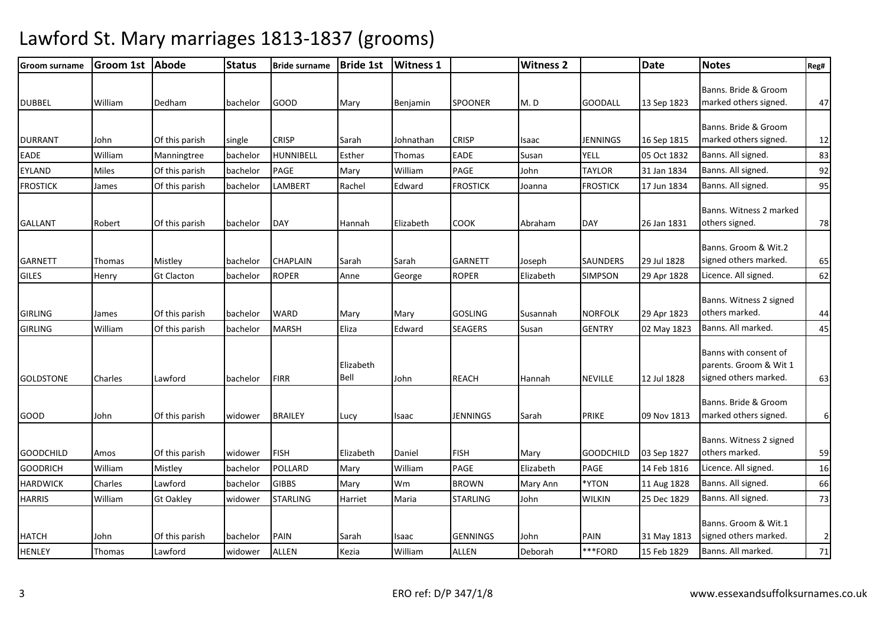| <b>Groom surname</b> | Groom 1st | Abode             | <b>Status</b> | <b>Bride surname</b> | <b>Bride 1st</b>  | <b>Witness 1</b> |                 | <b>Witness 2</b> |                  | <b>Date</b> | <b>Notes</b>                                                             | Reg#           |
|----------------------|-----------|-------------------|---------------|----------------------|-------------------|------------------|-----------------|------------------|------------------|-------------|--------------------------------------------------------------------------|----------------|
| <b>DUBBEL</b>        | William   | Dedham            | bachelor      | <b>GOOD</b>          | Mary              | Benjamin         | <b>SPOONER</b>  | M.D              | <b>GOODALL</b>   | 13 Sep 1823 | Banns. Bride & Groom<br>marked others signed.                            | 47             |
| <b>DURRANT</b>       | John      | Of this parish    | single        | <b>CRISP</b>         | Sarah             | Johnathan        | <b>CRISP</b>    | Isaac            | <b>JENNINGS</b>  | 16 Sep 1815 | Banns. Bride & Groom<br>marked others signed.                            | 12             |
| <b>EADE</b>          | William   | Manningtree       | bachelor      | HUNNIBELL            | Esther            | Thomas           | <b>EADE</b>     | Susan            | <b>YELL</b>      | 05 Oct 1832 | Banns. All signed.                                                       | 83             |
| <b>EYLAND</b>        | Miles     | Of this parish    | bachelor      | <b>PAGE</b>          | Mary              | William          | <b>PAGE</b>     | John             | <b>TAYLOR</b>    | 31 Jan 1834 | Banns. All signed.                                                       | 92             |
| <b>FROSTICK</b>      | James     | Of this parish    | bachelor      | LAMBERT              | Rachel            | Edward           | <b>FROSTICK</b> | Joanna           | <b>FROSTICK</b>  | 17 Jun 1834 | Banns. All signed.                                                       | 95             |
| <b>GALLANT</b>       | Robert    | Of this parish    | bachelor      | <b>DAY</b>           | Hannah            | Elizabeth        | <b>COOK</b>     | Abraham          | <b>DAY</b>       | 26 Jan 1831 | Banns. Witness 2 marked<br>others signed.                                | 78             |
| <b>GARNETT</b>       | Thomas    | Mistley           | bachelor      | <b>CHAPLAIN</b>      | Sarah             | Sarah            | <b>GARNETT</b>  | Joseph           | <b>SAUNDERS</b>  | 29 Jul 1828 | Banns. Groom & Wit.2<br>signed others marked.                            | 65             |
| <b>GILES</b>         | Henry     | <b>Gt Clacton</b> | bachelor      | <b>ROPER</b>         | Anne              | George           | <b>ROPER</b>    | Elizabeth        | <b>SIMPSON</b>   | 29 Apr 1828 | Licence. All signed.                                                     | 62             |
| <b>GIRLING</b>       | James     | Of this parish    | bachelor      | <b>WARD</b>          | Mary              | Mary             | <b>GOSLING</b>  | Susannah         | <b>NORFOLK</b>   | 29 Apr 1823 | Banns. Witness 2 signed<br>others marked.                                | 44             |
| <b>GIRLING</b>       | William   | Of this parish    | bachelor      | <b>MARSH</b>         | Eliza             | Edward           | <b>SEAGERS</b>  | Susan            | <b>GENTRY</b>    | 02 May 1823 | Banns. All marked.                                                       | 45             |
| <b>GOLDSTONE</b>     | Charles   | Lawford           | bachelor      | <b>FIRR</b>          | Elizabeth<br>Bell | John             | <b>REACH</b>    | Hannah           | <b>NEVILLE</b>   | 12 Jul 1828 | Banns with consent of<br>parents. Groom & Wit 1<br>signed others marked. | 63             |
| GOOD                 | John      | Of this parish    | widower       | <b>BRAILEY</b>       | Lucy              | Isaac            | <b>JENNINGS</b> | Sarah            | <b>PRIKE</b>     | 09 Nov 1813 | Banns. Bride & Groom<br>marked others signed.                            | $6 \mid$       |
| <b>GOODCHILD</b>     | Amos      | Of this parish    | widower       | <b>FISH</b>          | Elizabeth         | Daniel           | <b>FISH</b>     | Mary             | <b>GOODCHILD</b> | 03 Sep 1827 | Banns. Witness 2 signed<br>others marked.                                | 59             |
| <b>GOODRICH</b>      | William   | Mistley           | bachelor      | POLLARD              | Mary              | William          | <b>PAGE</b>     | Elizabeth        | PAGE             | 14 Feb 1816 | Licence. All signed.                                                     | 16             |
| <b>HARDWICK</b>      | Charles   | Lawford           | bachelor      | <b>GIBBS</b>         | Mary              | Wm               | <b>BROWN</b>    | Mary Ann         | *YTON            | 11 Aug 1828 | Banns. All signed.                                                       | 66             |
| <b>HARRIS</b>        | William   | <b>Gt Oakley</b>  | widower       | <b>STARLING</b>      | Harriet           | Maria            | <b>STARLING</b> | John             | <b>WILKIN</b>    | 25 Dec 1829 | Banns. All signed.                                                       | 73             |
| <b>HATCH</b>         | John      | Of this parish    | bachelor      | PAIN                 | Sarah             | Isaac            | <b>GENNINGS</b> | John             | PAIN<br>***FORD  | 31 May 1813 | Banns. Groom & Wit.1<br>signed others marked.<br>Banns. All marked.      | 2 <sub>l</sub> |
| <b>HENLEY</b>        | Thomas    | Lawford           | widower       | <b>ALLEN</b>         | Kezia             | William          | <b>ALLEN</b>    | Deborah          |                  | 15 Feb 1829 |                                                                          | 71             |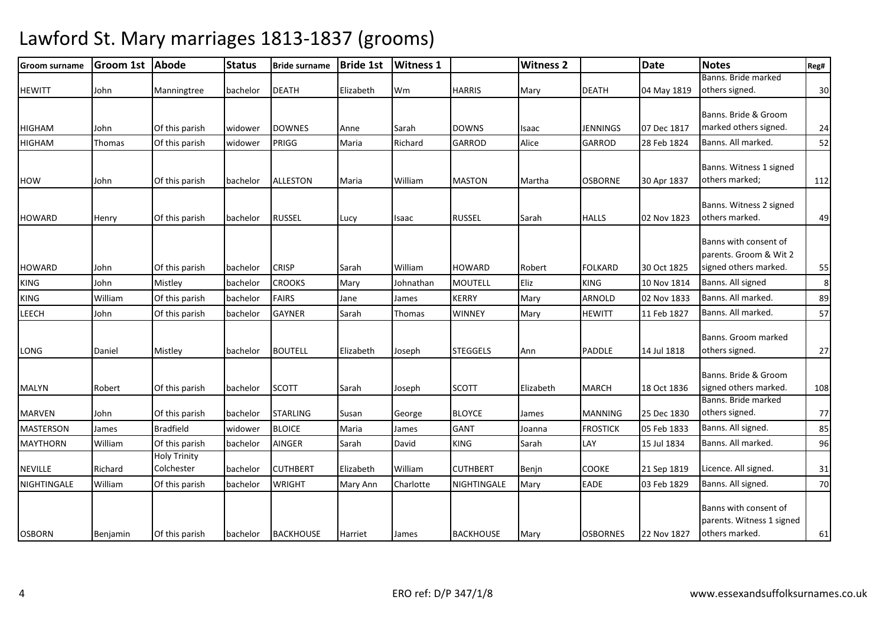#### Groom surname Groom 1st AbodeStatus Bride surname Bride 1st Witness 1 1 | Witness 2 | Date Notes Reg# HEWITT John Manningtree bachelor DEATH Elizabeth Wm HARRIS Mary DEATH 04 May 1819Banns. Bride marked others signed. 30HIGHAM John Of this parish widower DOWNES Anne Sarah DOWNS Isaac JENNINGSIFNNINGS 07 Dec 1817 Banns. Bride & Groom marked others signed. 24HIGHAM Thomas Of this parish widower PRIGG Maria Richard GARROD Alice GARROD 28 Feb 182428 Feb 1824 Banns. All marked. 52 HOW John Of this parish bachelor ALLESTON Maria William MASTON Martha OSBORNEOSBORNE 30 Apr 1837 Banns. Witness 1 signed others marked; 112HOWARD Henry Of this parish bachelor RUSSEL Lucy Isaac RUSSEL Sarah HALLS 02 Nov 1823Banns. Witness 2 signed others marked. 49HOWARD John Of this parish bachelor CRISP Sarah William HOWARD Robert FOLKARD 30 Oct 1825Banns with consent of parents. Groom & Wit 2 signed others marked. 55KING John Mistley bachelor CROOKS Mary Johnathan MOUTELL Eliz KING 10 Nov 181410 Nov 1814 Banns. All signed and the 8 KING William Of this parish bachelor FAIRS Jane James KERRY Mary ARNOLD 02 Nov 183302 Nov 1833 Banns. All marked. 189 LEECH John Of this parish bachelor GAYNER Sarah Thomas WINNEY Mary HEWITT 11 Feb 182711 Feb 1827 Banns. All marked. 57 LONG Daniel Mistley bachelor BOUTELL Elizabeth Joseph STEGGELS Ann PADDLE 14 Jul 1818Banns. Groom marked others signed. 27MALYN Robert Of this parish bachelor SCOTT Sarah Joseph SCOTT ElizabethElizabeth MARCH 18 Oct 1836 Banns. Bride & Groom signed others marked. 108MARVEN John Of this parish bachelor STARLING Susan George BLOYCE James MANNING 25 Dec 1830Banns. Bride marked others signed. 77MASTERSON James Bradfield widower BLOICE Maria James GANT Joanna FROSTICK 05 Feb 183305 Feb 1833 Banns. All signed. 185 MAYTHORN William Of this parish bachelor AINGER Sarah David KING Sarah LAY 15 Jul 183415 Jul 1834 | Banns. All marked. 196 NEVILLE Richard Holy Trinity Colchester bachelor CUTHBERT Elizabeth William CUTHBERT Benjn COOKE 21 Sep 181921 Sep 1819 Licence. All signed. 131 NIGHTINGALE William Of this parish bachelor WRIGHT Mary Ann Charlotte NIGHTINGALE Mary EADE 03 Feb 182903 Feb 1829 | Banns. All signed. 170 OSBORN Benjamin Of this parish bachelor BACKHOUSE Harriet James BACKHOUSE Mary OSBORNES 22 Nov 1827Banns with consent of parents. Witness 1 signed others marked.61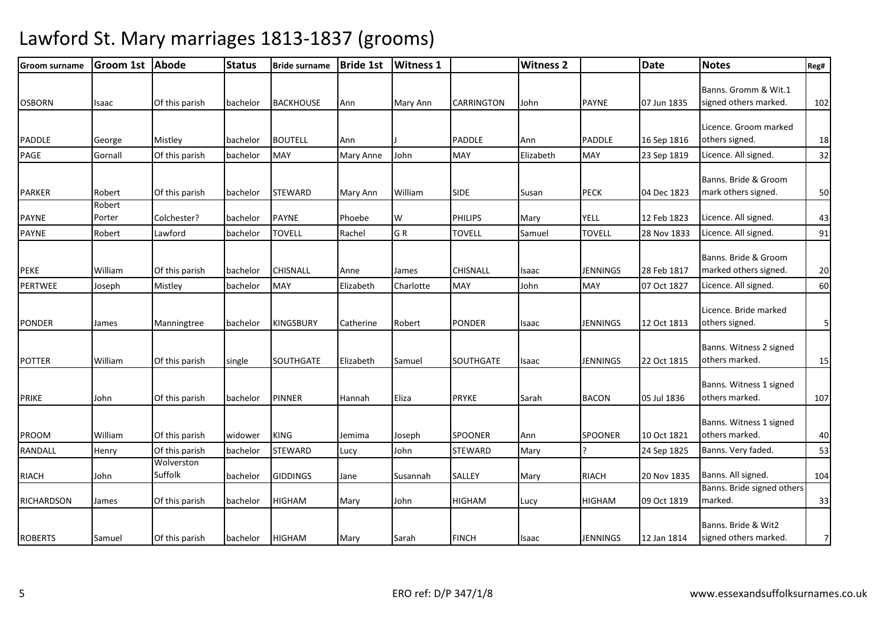| <b>Groom surname</b> | <b>Groom 1st</b> | Abode                 | <b>Status</b> | <b>Bride surname</b> | <b>Bride 1st</b> | <b>Witness 1</b> |                   | <b>Witness 2</b> |                 | <b>Date</b> | <b>Notes</b>                                  | Reg#     |
|----------------------|------------------|-----------------------|---------------|----------------------|------------------|------------------|-------------------|------------------|-----------------|-------------|-----------------------------------------------|----------|
| <b>OSBORN</b>        | Isaac            | Of this parish        | bachelor      | <b>BACKHOUSE</b>     | Ann              | Mary Ann         | <b>CARRINGTON</b> | John             | <b>PAYNE</b>    | 07 Jun 1835 | Banns. Gromm & Wit.1<br>signed others marked. | 102      |
|                      |                  |                       |               |                      |                  |                  |                   |                  |                 |             | Licence. Groom marked                         |          |
| PADDLE               | George           | Mistley               | bachelor      | <b>BOUTELL</b>       | Ann              |                  | <b>PADDLE</b>     | Ann              | <b>PADDLE</b>   | 16 Sep 1816 | others signed.                                | 18       |
| PAGE                 | Gornall          | Of this parish        | bachelor      | <b>MAY</b>           | <b>Mary Anne</b> | John             | MAY               | Elizabeth        | <b>MAY</b>      | 23 Sep 1819 | Licence. All signed.                          | 32       |
|                      |                  |                       |               |                      |                  |                  |                   |                  |                 |             | Banns. Bride & Groom                          |          |
| PARKER               | Robert           | Of this parish        | bachelor      | <b>STEWARD</b>       | Mary Ann         | William          | <b>SIDE</b>       | Susan            | <b>PECK</b>     | 04 Dec 1823 | mark others signed.                           | 50       |
| <b>PAYNE</b>         | Robert<br>Porter | Colchester?           | bachelor      | <b>PAYNE</b>         | Phoebe           | W                | <b>PHILIPS</b>    | Mary             | <b>YELL</b>     | 12 Feb 1823 | Licence. All signed.                          | 43       |
| PAYNE                | Robert           | Lawford               | bachelor      | <b>TOVELL</b>        | Rachel           | GR               | <b>TOVELL</b>     | Samuel           | <b>TOVELL</b>   | 28 Nov 1833 | Licence. All signed.                          | 91       |
| <b>PEKE</b>          | William          | Of this parish        | bachelor      | CHISNALL             | Anne             | James            | <b>CHISNALL</b>   | Isaac            | <b>JENNINGS</b> | 28 Feb 1817 | Banns. Bride & Groom<br>marked others signed. | 20       |
| PERTWEE              | Joseph           | Mistley               | bachelor      | MAY                  | Elizabeth        | Charlotte        | MAY               | John             | <b>MAY</b>      | 07 Oct 1827 | Licence. All signed.                          | 60       |
| <b>PONDER</b>        | James            | Manningtree           | bachelor      | <b>KINGSBURY</b>     | Catherine        | Robert           | <b>PONDER</b>     | Isaac            | <b>JENNINGS</b> | 12 Oct 1813 | Licence. Bride marked<br>others signed.       | $5 \mid$ |
| <b>POTTER</b>        | William          | Of this parish        | single        | <b>SOUTHGATE</b>     | Elizabeth        | Samuel           | <b>SOUTHGATE</b>  | Isaac            | <b>JENNINGS</b> | 22 Oct 1815 | Banns. Witness 2 signed<br>others marked.     | 15       |
| <b>PRIKE</b>         | John             | Of this parish        | bachelor      | <b>PINNER</b>        | Hannah           | Eliza            | <b>PRYKE</b>      | Sarah            | <b>BACON</b>    | 05 Jul 1836 | Banns. Witness 1 signed<br>others marked.     | 107      |
| PROOM                | William          | Of this parish        | widower       | <b>KING</b>          | Jemima           | Joseph           | <b>SPOONER</b>    | Ann              | <b>SPOONER</b>  | 10 Oct 1821 | Banns. Witness 1 signed<br>others marked.     | 40       |
| <b>RANDALL</b>       | Henry            | Of this parish        | bachelor      | <b>STEWARD</b>       | Lucy             | John             | <b>STEWARD</b>    | Mary             |                 | 24 Sep 1825 | Banns. Very faded.                            | 53       |
| RIACH                | John             | Wolverston<br>Suffolk | bachelor      | <b>GIDDINGS</b>      | Jane             | Susannah         | SALLEY            | Mary             | <b>RIACH</b>    | 20 Nov 1835 | Banns. All signed.                            | 104      |
| RICHARDSON           | James            | Of this parish        | bachelor      | HIGHAM               | Mary             | John             | <b>HIGHAM</b>     | Lucy             | <b>HIGHAM</b>   | 09 Oct 1819 | Banns. Bride signed others<br>marked.         | 33       |
| <b>ROBERTS</b>       | Samuel           | Of this parish        | bachelor      | <b>HIGHAM</b>        | Mary             | Sarah            | <b>FINCH</b>      | <b>Isaac</b>     | <b>JENNINGS</b> | 12 Jan 1814 | Banns. Bride & Wit2<br>signed others marked.  | 7        |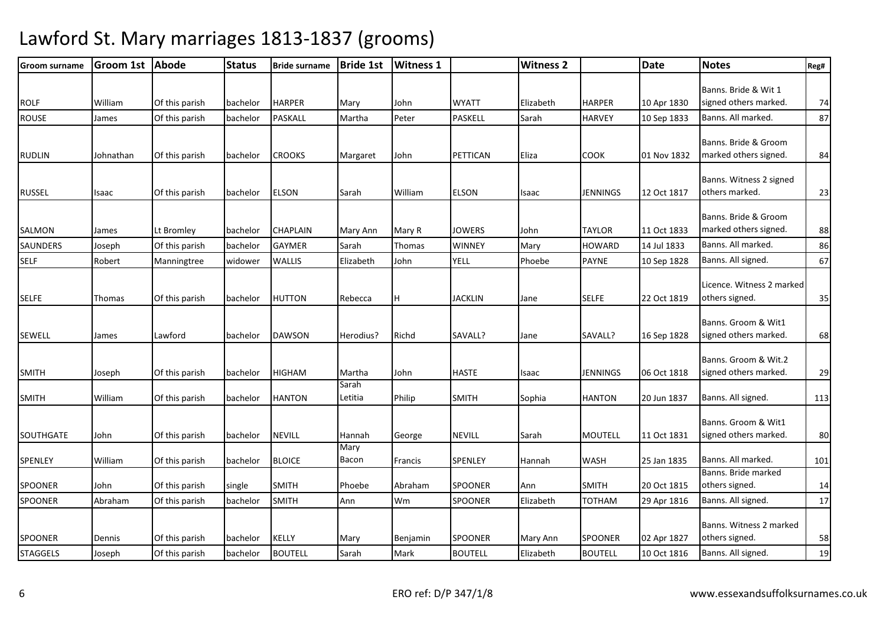| <b>Groom surname</b> | <b>Groom 1st</b> | <b>Abode</b>   | <b>Status</b> | <b>Bride surname</b> | <b>Bride 1st</b> | <b>Witness 1</b> |                | <b>Witness 2</b> |                 | <b>Date</b> | <b>Notes</b>                                  | Reg# |
|----------------------|------------------|----------------|---------------|----------------------|------------------|------------------|----------------|------------------|-----------------|-------------|-----------------------------------------------|------|
| <b>ROLF</b>          | William          | Of this parish | bachelor      | <b>HARPER</b>        | Mary             | John             | <b>WYATT</b>   | Elizabeth        | <b>HARPER</b>   | 10 Apr 1830 | Banns. Bride & Wit 1<br>signed others marked. | 74   |
| <b>ROUSE</b>         | James            | Of this parish | bachelor      | PASKALL              | Martha           | Peter            | <b>PASKELL</b> | Sarah            | <b>HARVEY</b>   | 10 Sep 1833 | Banns. All marked.                            | 87   |
| <b>RUDLIN</b>        | Johnathan        | Of this parish | bachelor      | <b>CROOKS</b>        | Margaret         | John             | PETTICAN       | Eliza            | <b>COOK</b>     | 01 Nov 1832 | Banns. Bride & Groom<br>marked others signed. | 84   |
| <b>RUSSEL</b>        | Isaac            | Of this parish | bachelor      | <b>ELSON</b>         | Sarah            | William          | <b>ELSON</b>   | Isaac            | <b>JENNINGS</b> | 12 Oct 1817 | Banns. Witness 2 signed<br>others marked.     | 23   |
| SALMON               | James            | Lt Bromley     | bachelor      | <b>CHAPLAIN</b>      | Mary Ann         | Mary R           | <b>JOWERS</b>  | John             | <b>TAYLOR</b>   | 11 Oct 1833 | Banns. Bride & Groom<br>marked others signed. | 88   |
| SAUNDERS             | Joseph           | Of this parish | bachelor      | <b>GAYMER</b>        | Sarah            | Thomas           | <b>WINNEY</b>  | Mary             | <b>HOWARD</b>   | 14 Jul 1833 | Banns. All marked.                            | 86   |
| <b>SELF</b>          | Robert           | Manningtree    | widower       | <b>WALLIS</b>        | Elizabeth        | John             | <b>YELL</b>    | Phoebe           | <b>PAYNE</b>    | 10 Sep 1828 | Banns. All signed.                            | 67   |
| <b>SELFE</b>         | Thomas           | Of this parish | bachelor      | <b>HUTTON</b>        | Rebecca          | H                | <b>JACKLIN</b> | Jane             | <b>SELFE</b>    | 22 Oct 1819 | Licence. Witness 2 marked<br>others signed.   | 35   |
| <b>SEWELL</b>        | James            | Lawford        | bachelor      | <b>DAWSON</b>        | Herodius?        | Richd            | SAVALL?        | Jane             | SAVALL?         | 16 Sep 1828 | Banns. Groom & Wit1<br>signed others marked.  | 68   |
| <b>SMITH</b>         | Joseph           | Of this parish | bachelor      | <b>HIGHAM</b>        | Martha           | John             | <b>HASTE</b>   | Isaac            | <b>JENNINGS</b> | 06 Oct 1818 | Banns. Groom & Wit.2<br>signed others marked. | 29   |
| <b>SMITH</b>         | William          | Of this parish | bachelor      | <b>HANTON</b>        | Sarah<br>Letitia | Philip           | <b>SMITH</b>   | Sophia           | <b>HANTON</b>   | 20 Jun 1837 | Banns. All signed.                            | 113  |
| <b>SOUTHGATE</b>     | John             | Of this parish | bachelor      | <b>NEVILL</b>        | Hannah           | George           | <b>NEVILL</b>  | Sarah            | <b>MOUTELL</b>  | 11 Oct 1831 | Banns. Groom & Wit1<br>signed others marked.  | 80   |
| SPENLEY              | William          | Of this parish | bachelor      | <b>BLOICE</b>        | Mary<br>Bacon    | Francis          | SPENLEY        | Hannah           | <b>WASH</b>     | 25 Jan 1835 | Banns. All marked.                            | 101  |
| <b>SPOONER</b>       | John             | Of this parish | single        | <b>SMITH</b>         | Phoebe           | Abraham          | <b>SPOONER</b> | Ann              | <b>SMITH</b>    | 20 Oct 1815 | Banns. Bride marked<br>others signed.         | 14   |
| <b>SPOONER</b>       | Abraham          | Of this parish | bachelor      | <b>SMITH</b>         | Ann              | Wm               | SPOONER        | Elizabeth        | TOTHAM          | 29 Apr 1816 | Banns. All signed.                            | 17   |
| <b>SPOONER</b>       | Dennis           | Of this parish | bachelor      | <b>KELLY</b>         | Mary             | Benjamin         | <b>SPOONER</b> | Mary Ann         | <b>SPOONER</b>  | 02 Apr 1827 | Banns. Witness 2 marked<br>others signed.     | 58   |
| <b>STAGGELS</b>      | Joseph           | Of this parish | bachelor      | <b>BOUTELL</b>       | Sarah            | Mark             | <b>BOUTELL</b> | Elizabeth        | <b>BOUTELL</b>  | 10 Oct 1816 | Banns. All signed.                            | 19   |